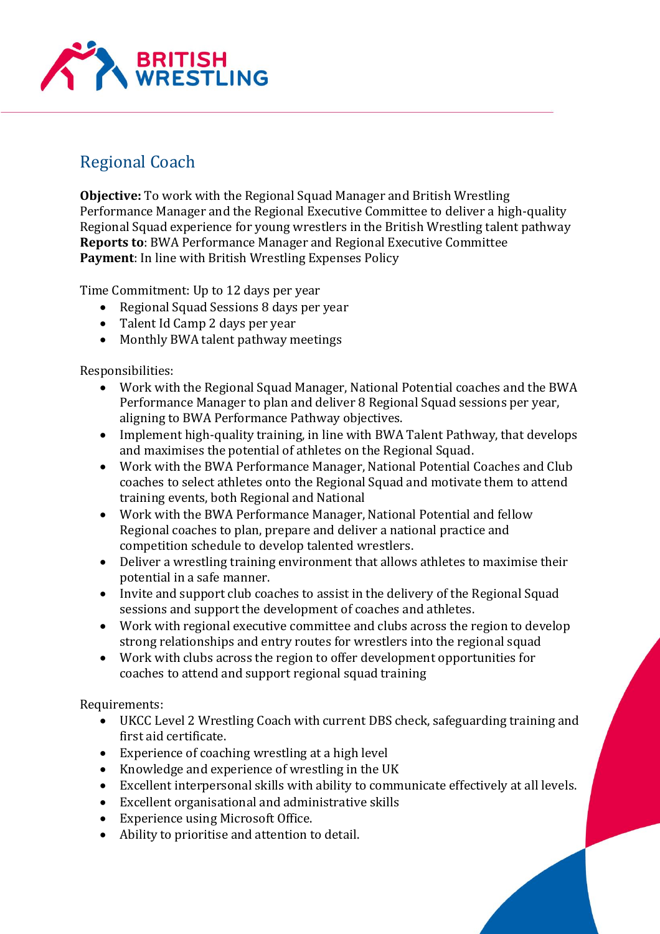

## Regional Coach

**Objective:** To work with the Regional Squad Manager and British Wrestling Performance Manager and the Regional Executive Committee to deliver a high-quality Regional Squad experience for young wrestlers in the British Wrestling talent pathway **Reports to**: BWA Performance Manager and Regional Executive Committee **Payment**: In line with British Wrestling Expenses Policy

Time Commitment: Up to 12 days per year

- Regional Squad Sessions 8 days per year
- Talent Id Camp 2 days per year
- Monthly BWA talent pathway meetings

Responsibilities:

- Work with the Regional Squad Manager, National Potential coaches and the BWA Performance Manager to plan and deliver 8 Regional Squad sessions per year, aligning to BWA Performance Pathway objectives.
- Implement high-quality training, in line with BWA Talent Pathway, that develops and maximises the potential of athletes on the Regional Squad.
- Work with the BWA Performance Manager, National Potential Coaches and Club coaches to select athletes onto the Regional Squad and motivate them to attend training events, both Regional and National
- Work with the BWA Performance Manager, National Potential and fellow Regional coaches to plan, prepare and deliver a national practice and competition schedule to develop talented wrestlers.
- Deliver a wrestling training environment that allows athletes to maximise their potential in a safe manner.
- Invite and support club coaches to assist in the delivery of the Regional Squad sessions and support the development of coaches and athletes.
- Work with regional executive committee and clubs across the region to develop strong relationships and entry routes for wrestlers into the regional squad
- Work with clubs across the region to offer development opportunities for coaches to attend and support regional squad training

Requirements:

- UKCC Level 2 Wrestling Coach with current DBS check, safeguarding training and first aid certificate.
- Experience of coaching wrestling at a high level
- Knowledge and experience of wrestling in the UK
- Excellent interpersonal skills with ability to communicate effectively at all levels.
- Excellent organisational and administrative skills
- Experience using Microsoft Office.
- Ability to prioritise and attention to detail.